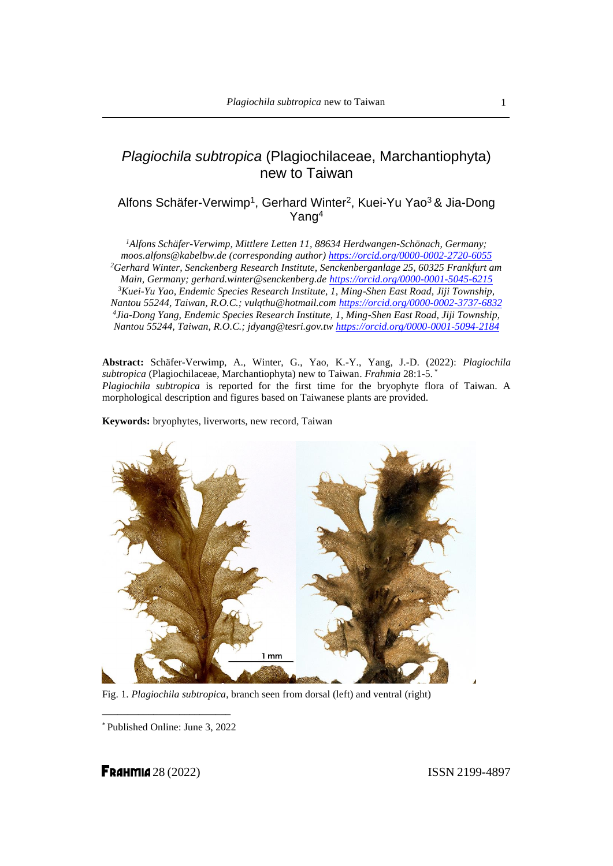# *Plagiochila subtropica* (Plagiochilaceae, Marchantiophyta) new to Taiwan

# Alfons Schäfer-Verwimp<sup>1</sup>, Gerhard Winter<sup>2</sup>, Kuei-Yu Yao<sup>3</sup> & Jia-Dong Yang<sup>4</sup>

*<sup>1</sup>Alfons Schäfer-Verwimp, Mittlere Letten 11, 88634 Herdwangen-Schönach, Germany; moos.alfons@kabelbw.de (corresponding author)<https://orcid.org/0000-0002-2720-6055> <sup>2</sup>Gerhard Winter, Senckenberg Research Institute, Senckenberganlage 25, 60325 Frankfurt am Main, Germany; gerhard.winter@senckenberg.de<https://orcid.org/0000-0001-5045-6215> <sup>3</sup>Kuei-Yu Yao, Endemic Species Research Institute, 1, Ming-Shen East Road, Jiji Township, Nantou 55244, Taiwan, R.O.C.; vulqthu@hotmail.com <https://orcid.org/0000-0002-3737-6832> 4 Jia-Dong Yang, Endemic Species Research Institute, 1, Ming-Shen East Road, Jiji Township, Nantou 55244, Taiwan, R.O.C.; jdyang@tesri.gov.tw <https://orcid.org/0000-0001-5094-2184>*

**Abstract:** Schäfer-Verwimp, A., Winter, G., Yao, K.-Y., Yang, J.-D. (2022): *Plagiochila subtropica* (Plagiochilaceae, Marchantiophyta) new to Taiwan. *Frahmia* 28:1-5. \* *Plagiochila subtropica* is reported for the first time for the bryophyte flora of Taiwan. A morphological description and figures based on Taiwanese plants are provided.

**Keywords:** bryophytes, liverworts, new record, Taiwan



Fig. 1. *Plagiochila subtropica*, branch seen from dorsal (left) and ventral (right)

\_\_\_\_\_\_\_\_\_\_\_\_\_\_\_\_\_\_\_\_\_\_\_\_\_ \* Published Online: June 3, 2022

**FRAHMIA** 28 (2022) **ISSN 2199-4897**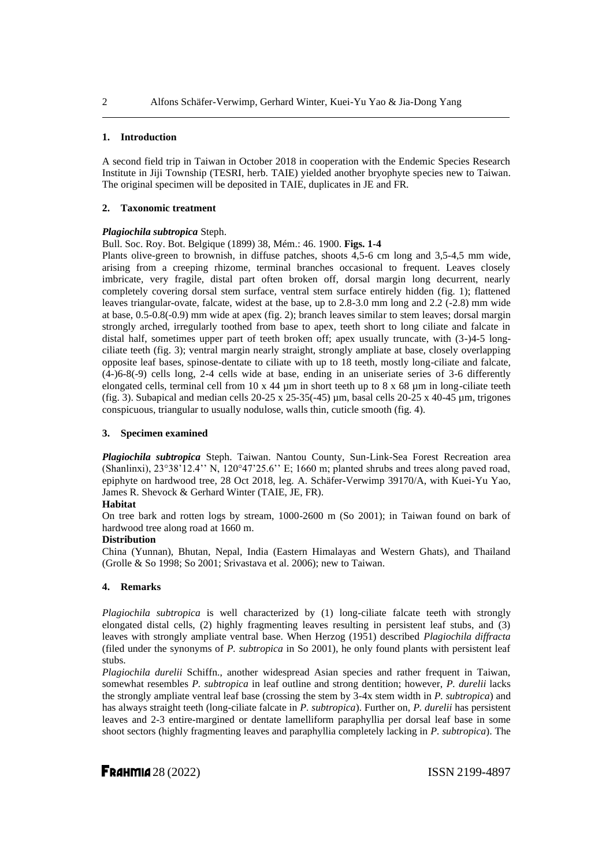#### **1. Introduction**

A second field trip in Taiwan in October 2018 in cooperation with the Endemic Species Research Institute in Jiji Township (TESRI, herb. TAIE) yielded another bryophyte species new to Taiwan. The original specimen will be deposited in TAIE, duplicates in JE and FR.

#### **2. Taxonomic treatment**

### *Plagiochila subtropica* Steph.

Bull. Soc. Roy. Bot. Belgique (1899) 38, Mém.: 46. 1900. **Figs. 1-4**

Plants olive-green to brownish, in diffuse patches, shoots 4,5-6 cm long and 3,5-4,5 mm wide, arising from a creeping rhizome, terminal branches occasional to frequent. Leaves closely imbricate, very fragile, distal part often broken off, dorsal margin long decurrent, nearly completely covering dorsal stem surface, ventral stem surface entirely hidden (fig. 1); flattened leaves triangular-ovate, falcate, widest at the base, up to 2.8-3.0 mm long and 2.2 (-2.8) mm wide at base, 0.5-0.8(-0.9) mm wide at apex (fig. 2); branch leaves similar to stem leaves; dorsal margin strongly arched, irregularly toothed from base to apex, teeth short to long ciliate and falcate in distal half, sometimes upper part of teeth broken off; apex usually truncate, with (3-)4-5 longciliate teeth (fig. 3); ventral margin nearly straight, strongly ampliate at base, closely overlapping opposite leaf bases, spinose-dentate to ciliate with up to 18 teeth, mostly long-ciliate and falcate, (4-)6-8(-9) cells long, 2-4 cells wide at base, ending in an uniseriate series of 3-6 differently elongated cells, terminal cell from 10 x 44  $\mu$ m in short teeth up to 8 x 68  $\mu$ m in long-ciliate teeth (fig. 3). Subapical and median cells  $20-25 \times 25-35(-45)$  µm, basal cells  $20-25 \times 40-45$  µm, trigones conspicuous, triangular to usually nodulose, walls thin, cuticle smooth (fig. 4).

#### **3. Specimen examined**

*Plagiochila subtropica* Steph. Taiwan. Nantou County, Sun-Link-Sea Forest Recreation area (Shanlinxi), 23°38'12.4'' N, 120°47'25.6'' E; 1660 m; planted shrubs and trees along paved road, epiphyte on hardwood tree, 28 Oct 2018, leg. A. Schäfer-Verwimp 39170/A, with Kuei-Yu Yao, James R. Shevock & Gerhard Winter (TAIE, JE, FR).

#### **Habitat**

On tree bark and rotten logs by stream, 1000-2600 m (So 2001); in Taiwan found on bark of hardwood tree along road at 1660 m.

## **Distribution**

China (Yunnan), Bhutan, Nepal, India (Eastern Himalayas and Western Ghats), and Thailand (Grolle & So 1998; So 2001; Srivastava et al. 2006); new to Taiwan.

#### **4. Remarks**

*Plagiochila subtropica* is well characterized by (1) long-ciliate falcate teeth with strongly elongated distal cells, (2) highly fragmenting leaves resulting in persistent leaf stubs, and (3) leaves with strongly ampliate ventral base. When Herzog (1951) described *Plagiochila diffracta* (filed under the synonyms of *P. subtropica* in So 2001), he only found plants with persistent leaf stubs.

*Plagiochila durelii* Schiffn., another widespread Asian species and rather frequent in Taiwan, somewhat resembles *P. subtropica* in leaf outline and strong dentition; however, *P. durelii* lacks the strongly ampliate ventral leaf base (crossing the stem by 3-4x stem width in *P. subtropica*) and has always straight teeth (long-ciliate falcate in *P. subtropica*). Further on, *P. durelii* has persistent leaves and 2-3 entire-margined or dentate lamelliform paraphyllia per dorsal leaf base in some shoot sectors (highly fragmenting leaves and paraphyllia completely lacking in *P. subtropica*). The

**FRAHMIA** 28 (2022) **ISSN 2199-4897** 

 $\mathcal{D}$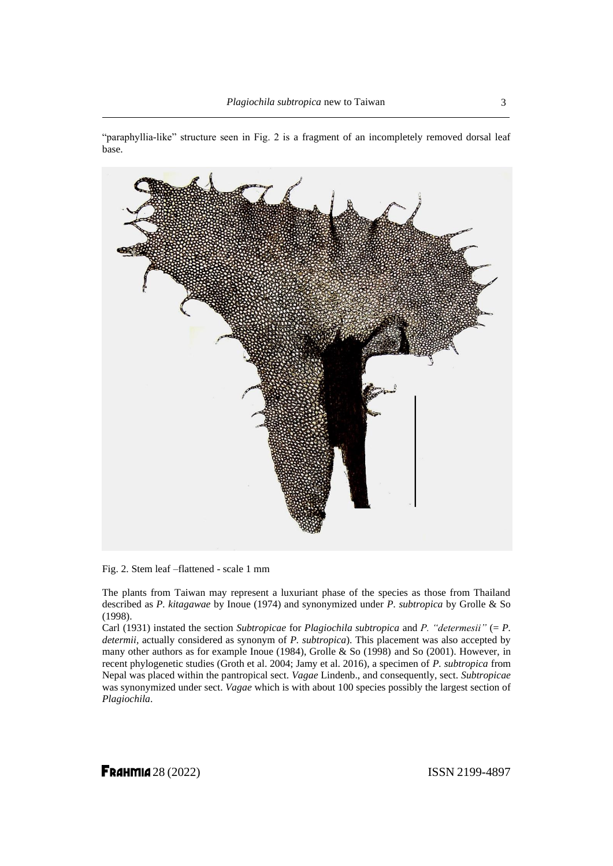



Fig. 2. Stem leaf –flattened - scale 1 mm

The plants from Taiwan may represent a luxuriant phase of the species as those from Thailand described as *P. kitagawae* by Inoue (1974) and synonymized under *P. subtropica* by Grolle & So (1998).

Carl (1931) instated the section *Subtropicae* for *Plagiochila subtropica* and *P. "determesii"* (= *P. determii,* actually considered as synonym of *P. subtropica*). This placement was also accepted by many other authors as for example Inoue (1984), Grolle & So (1998) and So (2001). However, in recent phylogenetic studies (Groth et al. 2004; Jamy et al. 2016), a specimen of *P. subtropica* from Nepal was placed within the pantropical sect. *Vagae* Lindenb., and consequently, sect. *Subtropicae* was synonymized under sect. *Vagae* which is with about 100 species possibly the largest section of *Plagiochila*.

**FRAHMIA** 28 (2022) **ISSN 2199-4897**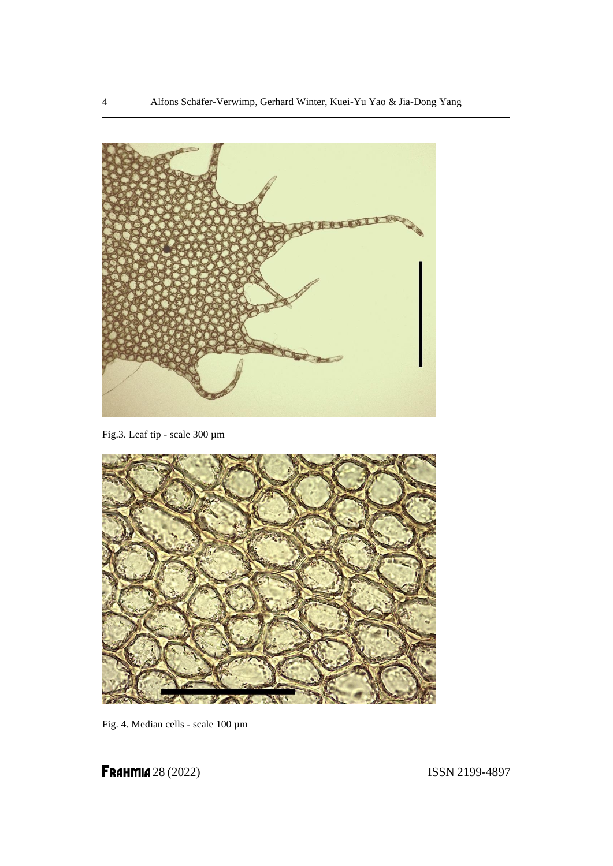

Fig.3. Leaf tip - scale 300 µm



Fig. 4. Median cells - scale 100 µm

**FRAHMIA** 28 (2022) **ISSN 2199-4897**